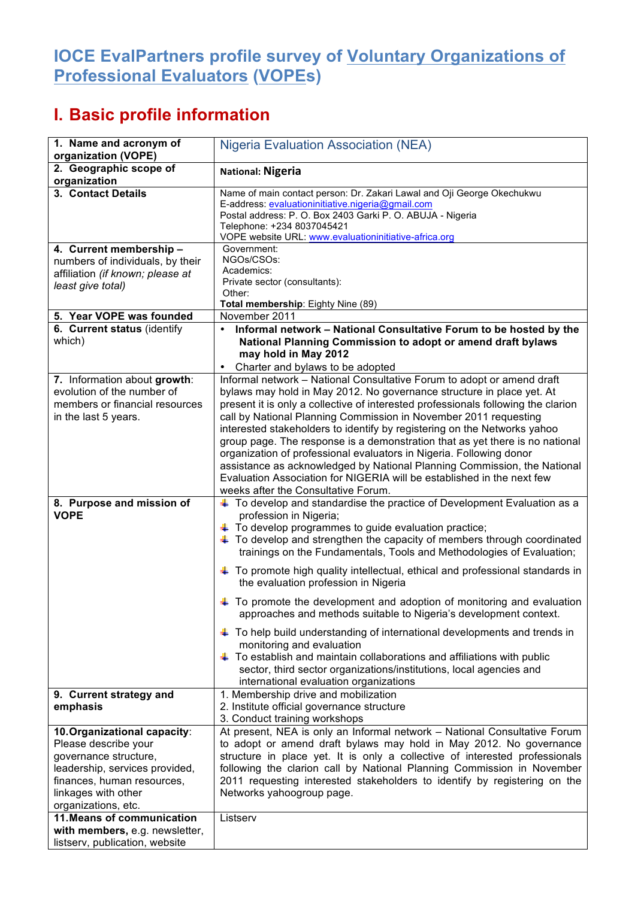## **IOCE EvalPartners profile survey of Voluntary Organizations of Professional Evaluators (VOPEs)**

## **I. Basic profile information**

| 1. Name and acronym of<br>organization (VOPE)                                                                                                                                               | <b>Nigeria Evaluation Association (NEA)</b>                                                                                                                                                                                                                                                                                                                                                                                                                                                                                                                                                                                                                                                                                                                                                                                                                                                                           |
|---------------------------------------------------------------------------------------------------------------------------------------------------------------------------------------------|-----------------------------------------------------------------------------------------------------------------------------------------------------------------------------------------------------------------------------------------------------------------------------------------------------------------------------------------------------------------------------------------------------------------------------------------------------------------------------------------------------------------------------------------------------------------------------------------------------------------------------------------------------------------------------------------------------------------------------------------------------------------------------------------------------------------------------------------------------------------------------------------------------------------------|
| 2. Geographic scope of<br>organization                                                                                                                                                      | <b>National: Nigeria</b>                                                                                                                                                                                                                                                                                                                                                                                                                                                                                                                                                                                                                                                                                                                                                                                                                                                                                              |
| 3. Contact Details                                                                                                                                                                          | Name of main contact person: Dr. Zakari Lawal and Oji George Okechukwu<br>E-address: evaluationinitiative.nigeria@gmail.com<br>Postal address: P. O. Box 2403 Garki P. O. ABUJA - Nigeria<br>Telephone: +234 8037045421<br>VOPE website URL: www.evaluationinitiative-africa.org                                                                                                                                                                                                                                                                                                                                                                                                                                                                                                                                                                                                                                      |
| 4. Current membership -<br>numbers of individuals, by their<br>affiliation (if known; please at<br>least give total)                                                                        | Government:<br>NGOs/CSOs:<br>Academics:<br>Private sector (consultants):<br>Other:<br>Total membership: Eighty Nine (89)                                                                                                                                                                                                                                                                                                                                                                                                                                                                                                                                                                                                                                                                                                                                                                                              |
| 5. Year VOPE was founded                                                                                                                                                                    | November 2011                                                                                                                                                                                                                                                                                                                                                                                                                                                                                                                                                                                                                                                                                                                                                                                                                                                                                                         |
| 6. Current status (identify<br>which)                                                                                                                                                       | Informal network - National Consultative Forum to be hosted by the<br>National Planning Commission to adopt or amend draft bylaws<br>may hold in May 2012<br>Charter and bylaws to be adopted                                                                                                                                                                                                                                                                                                                                                                                                                                                                                                                                                                                                                                                                                                                         |
| 7. Information about growth:<br>evolution of the number of<br>members or financial resources<br>in the last 5 years.                                                                        | Informal network - National Consultative Forum to adopt or amend draft<br>bylaws may hold in May 2012. No governance structure in place yet. At<br>present it is only a collective of interested professionals following the clarion<br>call by National Planning Commission in November 2011 requesting<br>interested stakeholders to identify by registering on the Networks yahoo<br>group page. The response is a demonstration that as yet there is no national<br>organization of professional evaluators in Nigeria. Following donor<br>assistance as acknowledged by National Planning Commission, the National<br>Evaluation Association for NIGERIA will be established in the next few<br>weeks after the Consultative Forum.                                                                                                                                                                              |
| 8. Purpose and mission of<br><b>VOPE</b>                                                                                                                                                    | $\ddag$ To develop and standardise the practice of Development Evaluation as a<br>profession in Nigeria;<br>+ To develop programmes to guide evaluation practice;<br>$\ddagger$ To develop and strengthen the capacity of members through coordinated<br>trainings on the Fundamentals, Tools and Methodologies of Evaluation;<br>+ To promote high quality intellectual, ethical and professional standards in<br>the evaluation profession in Nigeria<br>+ To promote the development and adoption of monitoring and evaluation<br>approaches and methods suitable to Nigeria's development context.<br>+ To help build understanding of international developments and trends in<br>monitoring and evaluation<br>$\ddagger$ To establish and maintain collaborations and affiliations with public<br>sector, third sector organizations/institutions, local agencies and<br>international evaluation organizations |
| 9. Current strategy and<br>emphasis                                                                                                                                                         | 1. Membership drive and mobilization<br>2. Institute official governance structure<br>3. Conduct training workshops                                                                                                                                                                                                                                                                                                                                                                                                                                                                                                                                                                                                                                                                                                                                                                                                   |
| 10. Organizational capacity:<br>Please describe your<br>governance structure,<br>leadership, services provided,<br>finances, human resources,<br>linkages with other<br>organizations, etc. | At present, NEA is only an Informal network - National Consultative Forum<br>to adopt or amend draft bylaws may hold in May 2012. No governance<br>structure in place yet. It is only a collective of interested professionals<br>following the clarion call by National Planning Commission in November<br>2011 requesting interested stakeholders to identify by registering on the<br>Networks yahoogroup page.                                                                                                                                                                                                                                                                                                                                                                                                                                                                                                    |
| 11. Means of communication<br>with members, e.g. newsletter,<br>listserv, publication, website                                                                                              | Listserv                                                                                                                                                                                                                                                                                                                                                                                                                                                                                                                                                                                                                                                                                                                                                                                                                                                                                                              |